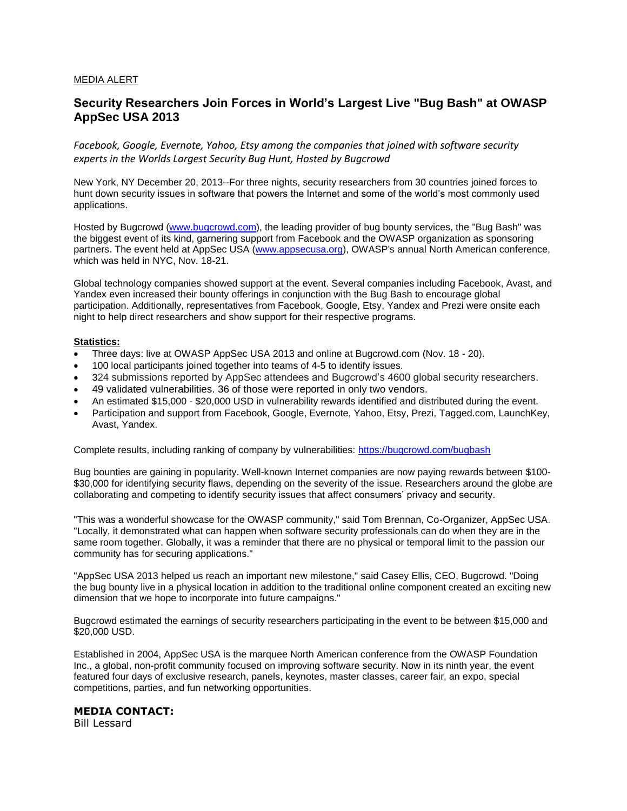## MEDIA ALERT

## **Security Researchers Join Forces in World's Largest Live "Bug Bash" at OWASP AppSec USA 2013**

*Facebook, Google, Evernote, Yahoo, Etsy among the companies that joined with software security experts in the Worlds Largest Security Bug Hunt, Hosted by Bugcrowd*

New York, NY December 20, 2013--For three nights, security researchers from 30 countries joined forces to hunt down security issues in software that powers the Internet and some of the world's most commonly used applications.

Hosted by Bugcrowd [\(www.bugcrowd.com\)](www.bugcrowd.com), the leading provider of bug bounty services, the "Bug Bash" was the biggest event of its kind, garnering support from Facebook and the OWASP organization as sponsoring partners. The event held at AppSec USA [\(www.appsecusa.org\)](www.appsecusa.org), OWASP's annual North American conference, which was held in NYC, Nov. 18-21.

Global technology companies showed support at the event. Several companies including Facebook, Avast, and Yandex even increased their bounty offerings in conjunction with the Bug Bash to encourage global participation. Additionally, representatives from Facebook, Google, Etsy, Yandex and Prezi were onsite each night to help direct researchers and show support for their respective programs.

## **Statistics:**

- Three days: live at OWASP AppSec USA 2013 and online at Bugcrowd.com (Nov. 18 20).
- 100 local participants joined together into teams of 4-5 to identify issues.
- 324 submissions reported by AppSec attendees and Bugcrowd's 4600 global security researchers.
- 49 validated vulnerabilities. 36 of those were reported in only two vendors.
- An estimated \$15,000 \$20,000 USD in vulnerability rewards identified and distributed during the event.
- Participation and support from Facebook, Google, Evernote, Yahoo, Etsy, Prezi, Tagged.com, LaunchKey, Avast, Yandex.

Complete results, including ranking of company by vulnerabilities:<https://bugcrowd.com/bugbash>

Bug bounties are gaining in popularity. Well-known Internet companies are now paying rewards between \$100- \$30,000 for identifying security flaws, depending on the severity of the issue. Researchers around the globe are collaborating and competing to identify security issues that affect consumers' privacy and security.

"This was a wonderful showcase for the OWASP community," said Tom Brennan, Co-Organizer, AppSec USA. "Locally, it demonstrated what can happen when software security professionals can do when they are in the same room together. Globally, it was a reminder that there are no physical or temporal limit to the passion our community has for securing applications."

"AppSec USA 2013 helped us reach an important new milestone," said Casey Ellis, CEO, Bugcrowd. "Doing the bug bounty live in a physical location in addition to the traditional online component created an exciting new dimension that we hope to incorporate into future campaigns."

Bugcrowd estimated the earnings of security researchers participating in the event to be between \$15,000 and \$20,000 USD.

Established in 2004, AppSec USA is the marquee North American conference from the OWASP Foundation Inc., a global, non-profit community focused on improving software security. Now in its ninth year, the event featured four days of exclusive research, panels, keynotes, master classes, career fair, an expo, special competitions, parties, and fun networking opportunities.

## **MEDIA CONTACT:**

Bill Lessard